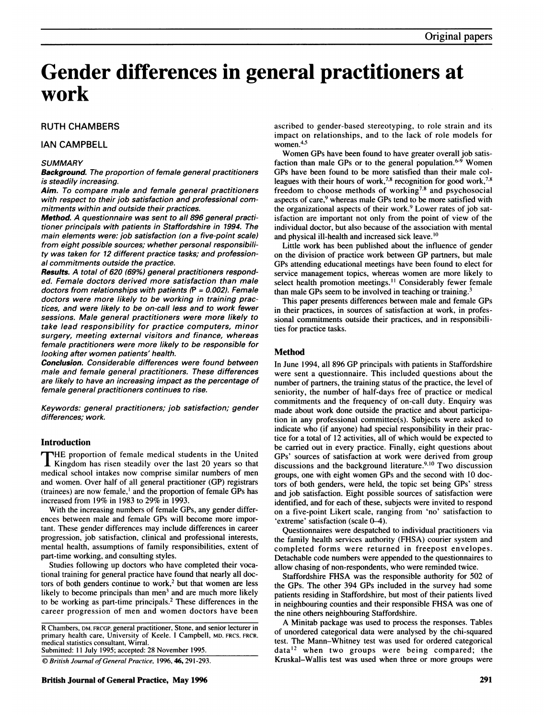# Gender differences in general practitioners at work

# RUTH CHAMBERS

# IAN CAMPBELL

#### **SUMMARY**

Background. The proportion of female general practitioners is steadily increasing.

Aim. To compare male and female general practitioners with respect to their job satisfaction and professional commitments within and outside their practices.

Method. A questionnaire was sent to all 896 general practitioner principals with patients in Staffordshire in 1994. The main elements were: job satisfaction (on a five-point scale) from eight possible sources; whether personal responsibility was taken for 12 different practice tasks; and professional commitments outside the practice.

Results. A total of 620 (69%) general practitioners responded. Female doctors derived more satisfaction than male doctors from relationships with patients  $(P = 0.002)$ . Female doctors were more likely to be working in training practices, and were likely to be on-call less and to work fewer sessions. Male general practitioners were more likely to take lead responsibility for practice computers, minor surgery, meeting external visitors and finance, whereas female practitioners were more likely to be responsible for looking after women patients' health.

Conclusion. Considerable differences were found between male and female general practitioners. These differences are likely to have an increasing impact as the percentage of female general practitioners continues to rise.

Keywords: general practitioners; job satisfaction; gender differences; work.

### Introduction

THE proportion of female medical students in the United **I** Kingdom has risen steadily over the last 20 years so that medical school intakes now comprise similar numbers of men and women. Over half of all general practitioner (GP) registrars (trainees) are now female,' and the proportion of female GPs has increased from 19% in 1983 to 29% in 1993.

With the increasing numbers of female GPs, any gender differences between male and female GPs will become more important. These gender differences may include differences in career progression, job satisfaction, clinical and professional interests, mental health, assumptions of family responsibilities, extent of part-time working, and consulting styles.

Studies following up doctors who have completed their vocational training for general practice have found that nearly all doctors of both genders continue to work,<sup>2</sup> but that women are less likely to become principals than men<sup>3</sup> and are much more likely to be working as part-time principals.2 These differences in the career progression of men and women doctors have been

R Chambers, DM, FRCGP, general practitioner, Stone, and senior lecturer in primary health care, University of Keele. <sup>I</sup> Campbell, MD, FRCS, FRCR, medical statistics consultant, Wirral. Submitted: <sup>11</sup> July 1995; accepted: 28 November 1995.

C British Journal of General Practice, 1996, 46, 291-293.

ascribed to gender-based stereotyping, to role strain and its impact on relationships, and to the lack of role models for women.<sup>4,5</sup>

Women GPs have been found to have greater overall job satisfaction than male GPs or to the general population.<sup>6-9</sup> Women GPs have been found to be more satisfied than their male colleagues with their hours of work,<sup>7,8</sup> recognition for good work,<sup>7,8</sup> freedom to choose methods of working<sup>7,8</sup> and psychosocial aspects of care,<sup>9</sup> whereas male GPs tend to be more satisfied with the organizational aspects of their work.<sup>9</sup> Lower rates of job satisfaction are important not only from the point of view of the individual doctor, but also because of the association with mental and physical ill-health and increased sick leave.'0

Little work has been published about the influence of gender on the division of practice work between GP partners, but male GPs attending educational meetings have been found to elect for service management topics, whereas women are more likely to select health promotion meetings.<sup>11</sup> Considerably fewer female than male GPs seem to be involved in teaching or training.<sup>3</sup>

This paper presents differences between male and female GPs in their practices, in sources of satisfaction at work, in professional commitments outside their practices, and in responsibilities for practice tasks.

## Method

In June 1994, all 896 GP principals with patients in Staffordshire were sent a questionnaire. This included questions about the number of partners, the training status of the practice, the level of seniority, the number of half-days free of practice or medical commitments and the frequency of on-call duty. Enquiry was made about work done outside the practice and about participation in any professional committee(s). Subjects were asked to indicate who (if anyone) had special responsibility in their practice for a total of 12 activities, all of which would be expected to be carried out in every practice. Finally, eight questions about GPs' sources of satisfaction at work were derived from group discussions and the background literature.<sup>9,10</sup> Two discussion groups, one with eight women GPs and the second with 10 doctors of both genders, were held, the topic set being GPs' stress and job satisfaction. Eight possible sources of satisfaction were identified, and for each of these, subjects were invited to respond on a five-point Likert scale, ranging from 'no' satisfaction to 'extreme' satisfaction (scale 0-4).

Questionnaires were despatched to individual practitioners via the family health services authority (FHSA) courier system and completed forms were returned in freepost envelopes. Detachable code numbers were appended to the questionnaires to allow chasing of non-respondents, who were reminded twice.

Staffordshire FHSA was the responsible authority for 502 of the GPs. The other 394 GPs included in the survey had some patients residing in Staffordshire, but most of their patients lived in neighbouring counties and their responsible FHSA was one of the nine others neighbouring Staffordshire.

A Minitab package was used to process the responses. Tables of unordered categorical data were analysed by the chi-squared test. The Mann-Whitney test was used for ordered categorical data'2 when two groups were being compared; the Kruskal-Wallis test was used when three or more groups were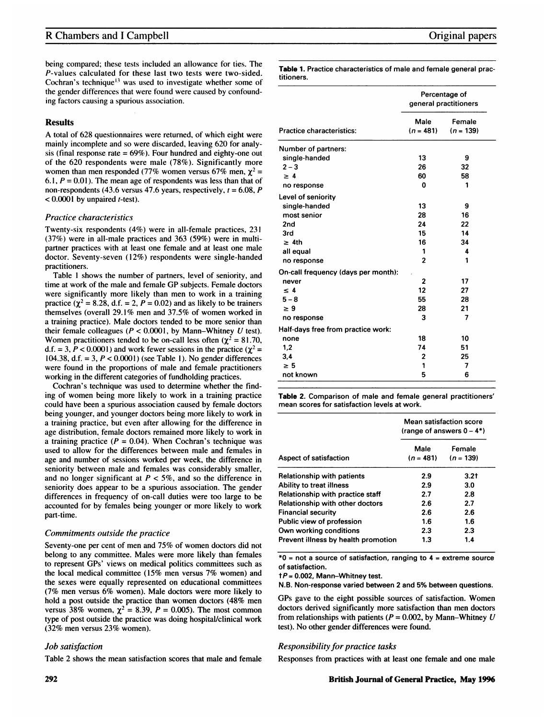being compared; these tests included an allowance for ties. The P-values calculated for these last two tests were two-sided. Cochran's technique<sup>13</sup> was used to investigate whether some of the gender differences that were found were caused by confounding factors causing a spurious association.

## **Results**

A total of 628 questionnaires were returned, of which eight were mainly incomplete and so were discarded, leaving 620 for analysis (final response rate  $= 69\%$ ). Four hundred and eighty-one out of the 620 respondents were male (78%). Significantly more women than men responded (77% women versus 67% men,  $\chi^2$  = 6.1,  $P = 0.01$ ). The mean age of respondents was less than that of non-respondents (43.6 versus 47.6 years, respectively,  $t = 6.08$ , P  $< 0.0001$  by unpaired *t*-test).

### Practice characteristics

Twenty-six respondents (4%) were in all-female practices, 231 (37%) were in all-male practices and 363 (59%) were in multipartner practices with at least one female and at least one male doctor. Seventy-seven (12%) respondents were single-handed practitioners.

Table <sup>1</sup> shows the number of partners, level of seniority, and time at work of the male and female GP subjects. Female doctors were significantly more likely than men to work in a training practice ( $\chi^2$  = 8.28, d.f. = 2, P = 0.02) and as likely to be trainers themselves (overall 29.1% men and 37.5% of women worked in a training practice). Male doctors tended to be more senior than their female colleagues ( $P < 0.0001$ , by Mann-Whitney U test). Women practitioners tended to be on-call less often ( $\chi^2 = 81.70$ , d.f. = 3, P < 0.0001) and work fewer sessions in the practice ( $\chi^2$  = 104.38, d.f. = 3,  $P < 0.0001$ ) (see Table 1). No gender differences were found in the proportions of male and female practitioners working in the different categories of fundholding practices.

Cochran's technique was used to determine whether the finding of women being more likely to work in a training practice could have been a spurious association caused by female doctors being younger, and younger doctors being more likely to work in a training practice, but even after allowing for the difference in age distribution, female doctors remained more likely to work in a training practice ( $P = 0.04$ ). When Cochran's technique was used to allow for the differences between male and females in age and number of sessions worked per week, the difference in seniority between male and females was considerably smaller, and no longer significant at  $P < 5\%$ , and so the difference in seniority does appear to be a spurious association. The gender differences in frequency of on-call duties were too large to be accounted for by females being younger or more likely to work part-time.

# Commitments outside the practice

Seventy-one per cent of men and 75% of women doctors did not belong to any committee. Males were more likely than females to represent GPs' views on medical politics committees such as the local medical committee (15% men versus 7% women) and the sexes were equally represented on educational committees (7% men versus 6% women). Male doctors were more likely to hold a post outside the practice than women doctors (48% men versus 38% women,  $\chi^2 = 8.39$ ,  $P = 0.005$ ). The most common type of post outside the practice was doing hospital/clinical work (32% men versus 23% women).

# Job satisfaction

Table 2 shows the mean satisfaction scores that male and female

Table 1. Practice characteristics of male and female general practitioners.

|                                     | Percentage of<br>general practitioners |                       |
|-------------------------------------|----------------------------------------|-----------------------|
| <b>Practice characteristics:</b>    | Male<br>$(n = 481)$                    | Female<br>$(n = 139)$ |
| Number of partners:                 |                                        |                       |
| single-handed                       | 13                                     | 9                     |
| $2 - 3$                             | 26                                     | 32                    |
| $\geq 4$                            | 60                                     | 58                    |
| no response                         | 0                                      | 1                     |
| Level of seniority                  |                                        |                       |
| single-handed                       | 13                                     | 9                     |
| most senior                         | 28                                     | 16                    |
| 2nd                                 | 24                                     | 22                    |
| 3rd                                 | 15                                     | 14                    |
| $\geq 4$ th                         | 16                                     | 34                    |
| all equal                           | 1                                      | 4                     |
| no response                         | $\overline{2}$                         | 1                     |
| On-call frequency (days per month): |                                        |                       |
| never                               | 2                                      | 17                    |
| $\leq 4$                            | 12                                     | 27                    |
| $5 - 8$                             | 55                                     | 28                    |
| $\geq 9$                            | 28                                     | 21                    |
| no response                         | 3                                      | 7                     |
| Half-days free from practice work:  |                                        |                       |
| none                                | 18                                     | 10                    |
| 1,2                                 | 74                                     | 51                    |
| 3,4                                 | 2                                      | 25                    |
| > 5                                 | 1                                      | 7                     |
| not known                           | 5                                      | 6                     |

Table 2. Comparison of male and female general practitioners' mean scores for satisfaction levels at work.

|                                        | Mean satisfaction score<br>(range of answers $0 - 4^*$ ) |                       |
|----------------------------------------|----------------------------------------------------------|-----------------------|
| Aspect of satisfaction                 | Male<br>$(n = 481)$                                      | Female<br>$(n = 139)$ |
| <b>Relationship with patients</b>      | 2.9                                                      | $3.2+$                |
| Ability to treat illness               | 2.9                                                      | 3.0                   |
| Relationship with practice staff       | 2.7                                                      | 2.8                   |
| <b>Relationship with other doctors</b> | 2.6                                                      | 2.7                   |
| <b>Financial security</b>              | 2.6                                                      | 2.6                   |
| Public view of profession              | 1.6                                                      | 1.6                   |
| Own working conditions                 | 2.3                                                      | 2.3                   |
| Prevent illness by health promotion    | 1.3                                                      | 1.4                   |

 $*0$  = not a source of satisfaction, ranging to  $4$  = extreme source of satisfaction.

 $tP = 0.002$ , Mann-Whitney test.

N.B. Non-response varied between 2 and 5% between questions.

GPs gave to the eight possible sources of satisfaction. Women doctors derived significantly more satisfaction than men doctors from relationships with patients ( $P = 0.002$ , by Mann-Whitney U test). No other gender differences were found.

# Responsibility for practice tasks

Responses from practices with at least one female and one male